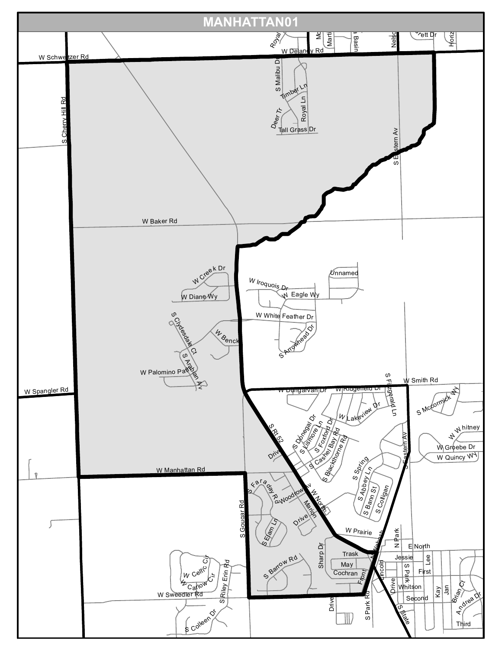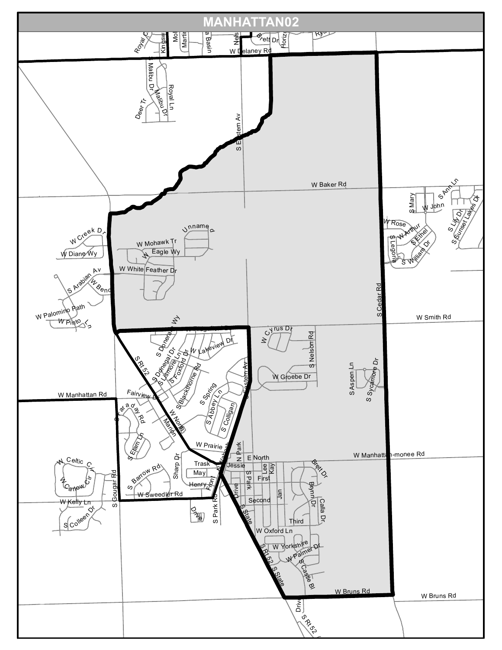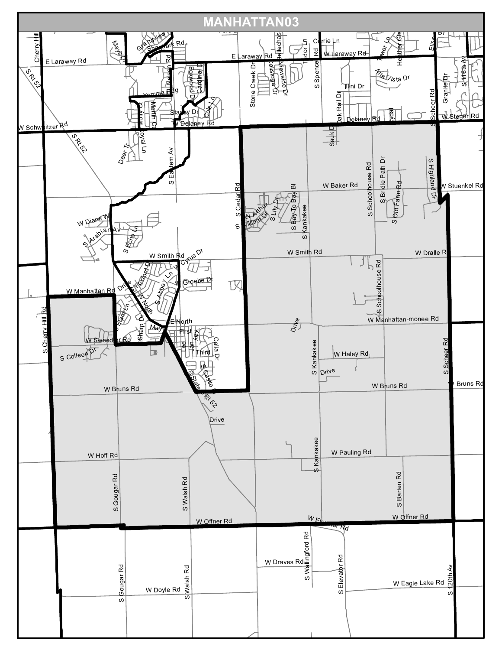